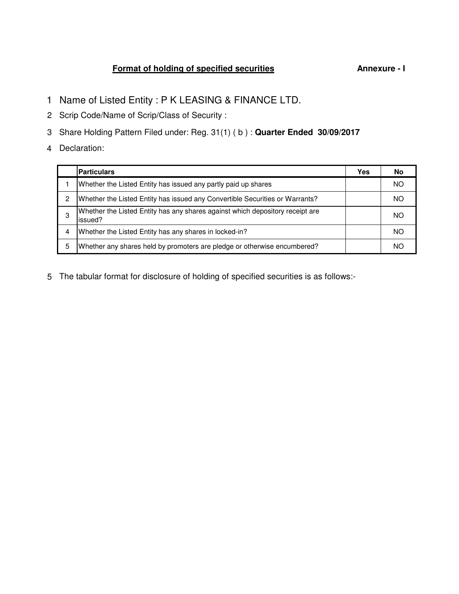## **Format of holding of specified securities Annexure - I**

- 1 Name of Listed Entity : P K LEASING & FINANCE LTD.
- 2 Scrip Code/Name of Scrip/Class of Security :
- 3 Share Holding Pattern Filed under: Reg. 31(1) ( b ) : **Quarter Ended 30/09/2017**
- 4 Declaration:

|   | <b>Particulars</b>                                                                       | Yes | No  |
|---|------------------------------------------------------------------------------------------|-----|-----|
|   | Whether the Listed Entity has issued any partly paid up shares                           |     | NO. |
| 2 | Whether the Listed Entity has issued any Convertible Securities or Warrants?             |     | NO. |
| 3 | Whether the Listed Entity has any shares against which depository receipt are<br>issued? |     | NO. |
| 4 | Whether the Listed Entity has any shares in locked-in?                                   |     | NO  |
| 5 | Whether any shares held by promoters are pledge or otherwise encumbered?                 |     | NO. |

5 The tabular format for disclosure of holding of specified securities is as follows:-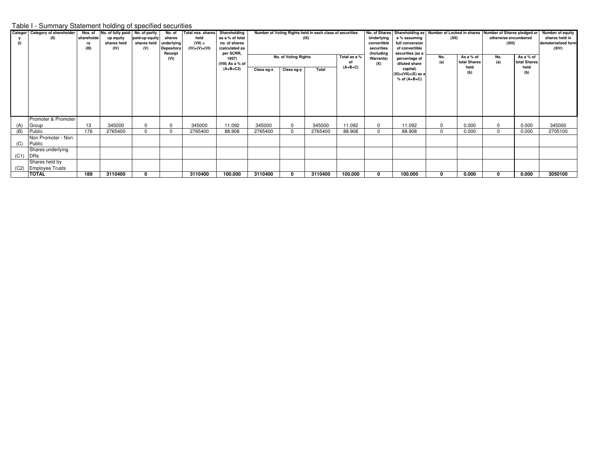## Table I - Summary Statement holding of specified securities

|      | Categor Category of shareholder | Nos. of    | No. of fully paid- No. of partly |                | No. of            | <b>Total nos. shares</b> | Shareholding     |            |                      | Number of Voting Rights held in each class of securities |                 |             | No. of Shares   Shareholding as   Number of Locked in shares   Number of Shares pledged or |                             |                     |                      | Number of equity |                     |
|------|---------------------------------|------------|----------------------------------|----------------|-------------------|--------------------------|------------------|------------|----------------------|----------------------------------------------------------|-----------------|-------------|--------------------------------------------------------------------------------------------|-----------------------------|---------------------|----------------------|------------------|---------------------|
|      | (II)                            | shareholde | up equity                        | paid-up equity | shares            | held                     | as a % of total  |            |                      | (IX)                                                     |                 | Underlying  | a % assuming                                                                               | (XII)                       |                     | otherwise encumbered | shares held in   |                     |
|      |                                 | rs         | shares held                      | shares held    | underlying        | $(VII) =$                | no. of shares    |            |                      |                                                          |                 | convertible | full conversion                                                                            |                             |                     | (XIII)               |                  | dematerialized form |
|      |                                 | (III)      | (IV)                             | (V)            | <b>Depository</b> | $(IV)+(V)+(VI)$          | (calculated as   |            |                      |                                                          |                 | securities  | of convertible                                                                             |                             |                     |                      |                  | (XIV)               |
|      |                                 |            |                                  |                | Receipt           |                          | per SCRR,        |            |                      |                                                          |                 | (Including  | securities (as a                                                                           |                             |                     |                      |                  |                     |
|      |                                 |            |                                  |                | (VI)              |                          | 1957)            |            | No. of Voting Rights |                                                          | Total as a %    | Warrants)   | percentage of                                                                              | No.                         | As a % of           | No.                  | As a % of        |                     |
|      |                                 |            |                                  |                |                   |                          | (VIII) As a % of |            |                      |                                                          | οf<br>$(A+B+C)$ | (X)         | diluted share                                                                              | (a)<br>total Shares<br>held | (a)<br>total Shares |                      |                  |                     |
|      |                                 |            |                                  |                |                   |                          | $(A+B+C2)$       | Class eg:x | Class eg:y<br>Total  |                                                          |                 |             | capital)                                                                                   |                             |                     |                      | held             |                     |
|      |                                 |            |                                  |                |                   |                          |                  |            |                      |                                                          |                 |             | $(XI) = (VII) + (X)$ as a                                                                  |                             | (b)                 |                      | (b)              |                     |
|      |                                 |            |                                  |                |                   |                          |                  |            |                      |                                                          |                 |             | $%$ of $(A+B+C)$                                                                           |                             |                     |                      |                  |                     |
|      |                                 |            |                                  |                |                   |                          |                  |            |                      |                                                          |                 |             |                                                                                            |                             |                     |                      |                  |                     |
|      |                                 |            |                                  |                |                   |                          |                  |            |                      |                                                          |                 |             |                                                                                            |                             |                     |                      |                  |                     |
|      |                                 |            |                                  |                |                   |                          |                  |            |                      |                                                          |                 |             |                                                                                            |                             |                     |                      |                  |                     |
|      |                                 |            |                                  |                |                   |                          |                  |            |                      |                                                          |                 |             |                                                                                            |                             |                     |                      |                  |                     |
|      |                                 |            |                                  |                |                   |                          |                  |            |                      |                                                          |                 |             |                                                                                            |                             |                     |                      |                  |                     |
|      |                                 |            |                                  |                |                   |                          |                  |            |                      |                                                          |                 |             |                                                                                            |                             |                     |                      |                  |                     |
|      | Promoter & Promoter             |            |                                  |                |                   |                          |                  |            |                      |                                                          |                 |             |                                                                                            |                             |                     |                      |                  |                     |
| (A)  | Group                           | 13         | 345000                           |                | $\Omega$          | 345000                   | 11.092           | 345000     | $\Omega$             | 345000                                                   | 11.092          | 0           | 11.092                                                                                     | $\Omega$                    | 0.000               | 0                    | 0.000            | 345000              |
| (B)  | Public                          | 176        | 2765400                          |                | $\mathbf 0$       | 2765400                  | 88.908           | 2765400    | $\Omega$             | 2765400                                                  | 88.908          | $\Omega$    | 88.908                                                                                     | $\Omega$                    | 0.000               | $\Omega$             | 0.000            | 2705100             |
|      | Non Promoter - Non              |            |                                  |                |                   |                          |                  |            |                      |                                                          |                 |             |                                                                                            |                             |                     |                      |                  |                     |
|      |                                 |            |                                  |                |                   |                          |                  |            |                      |                                                          |                 |             |                                                                                            |                             |                     |                      |                  |                     |
| (C)  | Public                          |            |                                  |                |                   |                          |                  |            |                      |                                                          |                 |             |                                                                                            |                             |                     |                      |                  |                     |
|      | Shares underlying               |            |                                  |                |                   |                          |                  |            |                      |                                                          |                 |             |                                                                                            |                             |                     |                      |                  |                     |
| (C1) | DRs                             |            |                                  |                |                   |                          |                  |            |                      |                                                          |                 |             |                                                                                            |                             |                     |                      |                  |                     |
|      | Shares held by                  |            |                                  |                |                   |                          |                  |            |                      |                                                          |                 |             |                                                                                            |                             |                     |                      |                  |                     |
| (C2) | <b>Employee Trusts</b>          |            |                                  |                |                   |                          |                  |            |                      |                                                          |                 |             |                                                                                            |                             |                     |                      |                  |                     |
|      | <b>TOTAL</b>                    | 189        | 3110400                          |                |                   | 3110400                  | 100.000          | 3110400    | 0                    | 3110400                                                  | 100.000         | 0           | 100.000                                                                                    | 0                           | 0.000               | 0                    | 0.000            | 3050100             |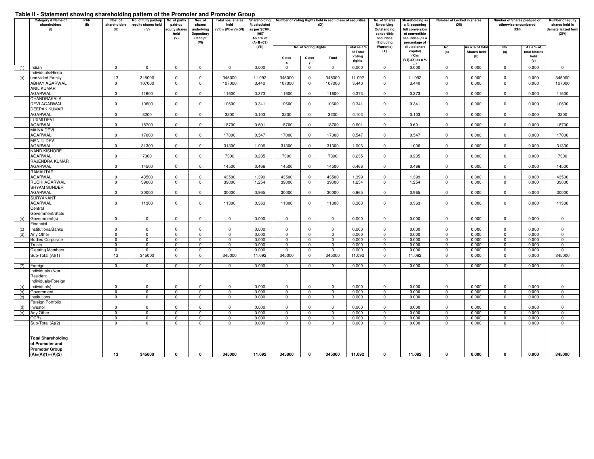## **Table II - Statement showing shareholding pattern of the Promoter and Promoter Group**

| .          | <br>Category & Name of<br>shareholders<br>(1)                         | PAN<br>(II) | Nos. of<br>shareholders<br>(III) | pattoin of tho From otor and i<br>No. of fully paid-up<br>equity shares held<br>(IV) | No. of partly<br>paid-up<br>equity shares<br>held<br>(V) | Nos. of<br>shares<br>underlying<br>Depository<br>Receipt<br>(VI) | <br>Total nos. shares<br>held<br>$(VII) = (IV)+(V)+(VI)$ | Shareholding<br>% calculated<br>as per SCRR,<br>1957<br>As a % of<br>$(A+B+C2)$ | Number of Voting Rights held in each class of securities<br>No. of Shares<br>Shareholding as<br>Number of Locked in shares<br>(IX)<br>Underlying<br>a % assuming<br>(XII)<br>Outstanding<br>full conversion<br>convertible<br>of convertible<br>securities<br>securities (as a<br>(Including<br>percentage of<br>(VIII)<br>Warrants)<br>diluted share<br>No. of Voting Rights<br>Total as a 9<br>No.<br>As a % of total |                               |                               |                              |                               |                                          |                     |                           | Number of Shares pledged or<br>otherwise encumbered<br>(XI) | Number of equity<br>shares held in<br>dematerialized form<br>(XIV) |                                       |
|------------|-----------------------------------------------------------------------|-------------|----------------------------------|--------------------------------------------------------------------------------------|----------------------------------------------------------|------------------------------------------------------------------|----------------------------------------------------------|---------------------------------------------------------------------------------|-------------------------------------------------------------------------------------------------------------------------------------------------------------------------------------------------------------------------------------------------------------------------------------------------------------------------------------------------------------------------------------------------------------------------|-------------------------------|-------------------------------|------------------------------|-------------------------------|------------------------------------------|---------------------|---------------------------|-------------------------------------------------------------|--------------------------------------------------------------------|---------------------------------------|
|            |                                                                       |             |                                  |                                                                                      |                                                          |                                                                  |                                                          |                                                                                 | Class<br>$\mathbf{x}$                                                                                                                                                                                                                                                                                                                                                                                                   | Class                         | Total                         | of Total<br>Voting<br>rights | (X)                           | capital)<br>$(XI)$ =<br>(VII)+(X) as a % | (a)                 | <b>Shares held</b><br>(b) | No.<br>(a)                                                  | As a % of<br>total Shares<br>held<br>(b)                           |                                       |
| (1)        | Indian                                                                |             | $\mathbf 0$                      | $\mathbf 0$                                                                          | $\mathbf 0$                                              | $\mathbf 0$                                                      | $\mathbf 0$                                              | 0.000                                                                           | $\mathbf 0$                                                                                                                                                                                                                                                                                                                                                                                                             | $\mathbf 0$                   | $\mathbf 0$                   | 0.000                        | $\mathbf 0$                   | 0.000                                    | $\mathbf 0$         | 0.000                     | $\mathbf 0$                                                 | 0.000                                                              | $\mathbf 0$                           |
|            | Individuals/Hindu                                                     |             |                                  |                                                                                      |                                                          |                                                                  |                                                          |                                                                                 |                                                                                                                                                                                                                                                                                                                                                                                                                         |                               |                               |                              |                               |                                          |                     |                           |                                                             |                                                                    |                                       |
| (a)        | undivided Family                                                      |             | 13                               | 345000                                                                               | $\Omega$                                                 | $\Omega$                                                         | 345000                                                   | 11.092                                                                          | 345000                                                                                                                                                                                                                                                                                                                                                                                                                  | $^{\circ}$                    | 345000                        | 11.092                       | $\mathbf{0}$                  | 11.092                                   | $^{\circ}$          | 0.000                     | $^{\circ}$                                                  | 0.000                                                              | 345000                                |
|            | <b>ABHAY AGARWAL</b>                                                  |             | $\overline{0}$                   | 107000                                                                               | $\overline{0}$                                           | $\overline{0}$                                                   | 107000                                                   | 3.440                                                                           | 107000                                                                                                                                                                                                                                                                                                                                                                                                                  | $\overline{\mathbf{0}}$       | 107000                        | 3.440                        | $\overline{0}$                | 3.440                                    | $\overline{0}$      | 0.000                     | $\overline{0}$                                              | 0.000                                                              | 107000                                |
|            | <b>ANIL KUMAR</b><br>AGARWAL                                          |             | $\mathbf{0}$                     | 11600                                                                                | $\Omega$                                                 | $\Omega$                                                         | 11600                                                    | 0.373                                                                           | 11600                                                                                                                                                                                                                                                                                                                                                                                                                   | $\mathbf 0$                   | 11600                         | 0.373                        | $\mathbf{0}$                  | 0.373                                    | $\mathbf{0}$        | 0.000                     | $\mathbf{0}$                                                | 0.000                                                              | 11600                                 |
|            | CHANDRAKALA<br><b>DEVI AGARWAL</b>                                    |             | $\mathbf{0}$                     | 10600                                                                                | $^{\circ}$                                               | $\Omega$                                                         | 10600                                                    | 0.341                                                                           | 10600                                                                                                                                                                                                                                                                                                                                                                                                                   | $\mathbf{0}$                  | 10600                         | 0.341                        | $\mathbf 0$                   | 0.341                                    | $\mathbf 0$         | 0.000                     | $\mathbf{0}$                                                | 0.000                                                              | 10600                                 |
|            | <b>DEEPAK KUMAR</b><br>AGARWAL                                        |             | $\mathbf{0}$                     |                                                                                      | $\Omega$                                                 | $\Omega$                                                         |                                                          |                                                                                 |                                                                                                                                                                                                                                                                                                                                                                                                                         | $\mathbf 0$                   |                               |                              |                               |                                          |                     |                           |                                                             |                                                                    |                                       |
|            | LUXMI DEVI                                                            |             |                                  | 3200                                                                                 |                                                          |                                                                  | 3200                                                     | 0.103                                                                           | 3200                                                                                                                                                                                                                                                                                                                                                                                                                    |                               | 3200                          | 0.103                        | $\mathbf{0}$                  | 0.103                                    | $^{\circ}$          | 0.000                     | $\mathbf{0}$                                                | 0.000                                                              | 3200                                  |
|            | AGARWAL<br><b>MAINA DEVI</b>                                          |             | $\mathbf{0}$                     | 18700                                                                                | $^{\circ}$                                               | $\Omega$                                                         | 18700                                                    | 0.601                                                                           | 18700                                                                                                                                                                                                                                                                                                                                                                                                                   | $\mathbf 0$                   | 18700                         | 0.601                        | $^{\circ}$                    | 0.601                                    | $\mathbf 0$         | 0.000                     | $\mathbf{0}$                                                | 0.000                                                              | 18700                                 |
|            | AGARWAL                                                               |             | $\mathbf{0}$                     | 17000                                                                                | $^{\circ}$                                               | $\mathbf 0$                                                      | 17000                                                    | 0.547                                                                           | 17000                                                                                                                                                                                                                                                                                                                                                                                                                   | $\mathsf 0$                   | 17000                         | 0.547                        | $^{\circ}$                    | 0.547                                    | $\mathbf 0$         | 0.000                     | $\mathbf 0$                                                 | 0.000                                                              | 17000                                 |
|            | <b>MANJU DEVI</b><br>AGARWAL                                          |             | $\mathbf{0}$                     | 31300                                                                                | $\Omega$                                                 | $\Omega$                                                         | 31300                                                    | 1.006                                                                           | 31300                                                                                                                                                                                                                                                                                                                                                                                                                   | $\mathbf 0$                   | 31300                         | 1.006                        | $\mathbf 0$                   | 1.006                                    | $\mathbf 0$         | 0.000                     | $\mathbf{0}$                                                | 0.000                                                              | 31300                                 |
|            | NAND KISHORE<br>AGARWAL                                               |             | $\mathbf 0$                      | 7300                                                                                 | $\mathbf 0$                                              | 0                                                                | 7300                                                     | 0.235                                                                           | 7300                                                                                                                                                                                                                                                                                                                                                                                                                    | $\mathbf 0$                   | 7300                          | 0.235                        | $\mathbf 0$                   | 0.235                                    | $\mathbf 0$         | 0.000                     | $\mathbf 0$                                                 | 0.000                                                              | 7300                                  |
|            | RAJENDRA KUMAR<br>AGARWAL                                             |             | $\mathbf 0$                      | 14500                                                                                | $\Omega$                                                 | $\Omega$                                                         | 14500                                                    | 0.466                                                                           | 14500                                                                                                                                                                                                                                                                                                                                                                                                                   | $\mathbf 0$                   | 14500                         | 0.466                        | 0                             | 0.466                                    | $\mathbf 0$         | 0.000                     | $\mathbf{0}$                                                | 0.000                                                              | 14500                                 |
|            | RAMAUTAR<br>AGARWAL                                                   |             | $\Omega$                         | 43500                                                                                | $\Omega$                                                 | $\mathbf 0$                                                      | 43500                                                    | 1.399                                                                           | 43500                                                                                                                                                                                                                                                                                                                                                                                                                   | $^{\circ}$                    | 43500                         | 1.399                        | $\Omega$                      | 1.399                                    | 0                   | 0.000                     | $\mathbf 0$                                                 | 0.000                                                              | 43500                                 |
|            | RUCHI AGARWAL                                                         |             | $\mathbf 0$                      | 39000                                                                                | $\mathbf 0$                                              | $\mathbf 0$                                                      | 39000                                                    | 1.254                                                                           | 39000                                                                                                                                                                                                                                                                                                                                                                                                                   | $\mathbf 0$                   | 39000                         | 1.254                        | $\mathbf 0$                   | 1.254                                    | $\mathbf 0$         | 0.000                     | $\mathbf 0$                                                 | 0.000                                                              | 39000                                 |
|            | <b>SHYAM SUNDER</b><br>AGARWAL                                        |             | $\mathbf 0$                      | 30000                                                                                | $^{\circ}$                                               | $\mathbf 0$                                                      | 30000                                                    | 0.965                                                                           | 30000                                                                                                                                                                                                                                                                                                                                                                                                                   | $\mathbf 0$                   | 30000                         | 0.965                        | $\mathbf 0$                   | 0.965                                    | $\mathbf 0$         | 0.000                     | $\mathbf 0$                                                 | 0.000                                                              | 30000                                 |
|            | <b>SURYAKANT</b><br>AGARWAL                                           |             | $\mathbf 0$                      | 11300                                                                                | $\mathbf 0$                                              | 0                                                                | 11300                                                    | 0.363                                                                           | 11300                                                                                                                                                                                                                                                                                                                                                                                                                   | $\mathbf 0$                   | 11300                         | 0.363                        | 0                             | 0.363                                    | $\mathbf 0$         | 0.000                     | $\mathbf 0$                                                 | 0.000                                                              | 11300                                 |
|            | Central<br>Government/State                                           |             |                                  |                                                                                      |                                                          |                                                                  |                                                          |                                                                                 |                                                                                                                                                                                                                                                                                                                                                                                                                         |                               |                               |                              |                               |                                          |                     |                           |                                                             |                                                                    |                                       |
| (b)        | Government(s)                                                         |             | $\mathsf 0$                      | $\mathbf 0$                                                                          | $\Omega$                                                 | $\Omega$                                                         | $\mathbf 0$                                              | 0.000                                                                           | $\mathbf 0$                                                                                                                                                                                                                                                                                                                                                                                                             | $\mathsf 0$                   | $\mathsf 0$                   | 0.000                        | $\mathbf 0$                   | 0.000                                    | $\mathsf 0$         | 0.000                     | $\mathbf 0$                                                 | 0.000                                                              | $\mathbf 0$                           |
| (c)        | Financial<br>Institutions/Banks                                       |             | $\mathbf 0$                      | $\mathbf 0$                                                                          | $^{\circ}$                                               | $\mathbf{0}$                                                     | $\mathbf 0$                                              | 0.000                                                                           | $\mathbf 0$                                                                                                                                                                                                                                                                                                                                                                                                             | $\mathbf 0$                   | $\mathbf 0$                   | 0.000                        | $\mathbf 0$                   | 0.000                                    | $\mathbf 0$         | 0.000                     | $\mathbf 0$                                                 | 0.000                                                              | $\mathbf 0$                           |
| (d)        | Any Other                                                             |             | $\mathbf{0}$                     | $\overline{0}$                                                                       | $\mathbf{0}$                                             | $\mathbf{0}$                                                     | $\mathbf 0$                                              | 0.000                                                                           | $\mathbf{0}$                                                                                                                                                                                                                                                                                                                                                                                                            | $\mathbf{0}$                  | $\mathbf{0}$                  | 0.000                        | $\Omega$                      | 0.000                                    | $\Omega$            | 0.000                     | $\Omega$                                                    | 0.000                                                              | $^{\circ}$                            |
|            | <b>Bodies Corporate</b>                                               |             | $\mathbf 0$                      | $\overline{\mathbf{0}}$                                                              | $^{\circ}$                                               | $\Omega$                                                         | $\mathbf 0$                                              | 0.000                                                                           | $\mathbf 0$                                                                                                                                                                                                                                                                                                                                                                                                             | $\mathbf 0$                   | 0                             | 0.000                        | $^{\circ}$                    | 0.000                                    | $^{\circ}$          | 0.000                     | $^{\circ}$                                                  | 0.000                                                              | $^{\circ}$                            |
|            | Trusts<br><b>Clearing Members</b>                                     |             | $\overline{0}$<br>$\mathbf 0$    | $\overline{\mathbf{0}}$<br>$\mathbf 0$                                               | $\overline{0}$<br>$\mathbf 0$                            | $\overline{0}$<br>0                                              | $\overline{0}$<br>$\mathbf 0$                            | 0.000<br>0.000                                                                  | $\overline{\mathbf{0}}$<br>$\mathbf 0$                                                                                                                                                                                                                                                                                                                                                                                  | $\overline{0}$<br>$\mathbf 0$ | $\overline{0}$<br>$\mathbf 0$ | 0.000<br>0.000               | $\overline{0}$<br>$\mathbf 0$ | 0.000<br>0.000                           | $\overline{0}$<br>0 | 0.000<br>0.000            | $\overline{0}$<br>$\mathbf 0$                               | 0.000<br>0.000                                                     | $\overline{\mathbf{0}}$<br>$^{\circ}$ |
|            | Sub-Total (A)(1)                                                      |             | 13                               | 345000                                                                               | $\mathbf 0$                                              | $\mathbf{0}$                                                     | 345000                                                   | 11.092                                                                          | 345000                                                                                                                                                                                                                                                                                                                                                                                                                  | $\mathbf 0$                   | 345000                        | 11.092                       | $\mathbf 0$                   | 11.092                                   | $\mathbf 0$         | 0.000                     | $\mathbf{0}$                                                | 0.000                                                              | 345000                                |
|            |                                                                       |             |                                  |                                                                                      |                                                          |                                                                  |                                                          |                                                                                 |                                                                                                                                                                                                                                                                                                                                                                                                                         |                               |                               |                              |                               |                                          |                     |                           |                                                             |                                                                    |                                       |
| (2)        | Foreign                                                               |             | $\mathbf 0$                      | $\mathbf 0$                                                                          | $\mathbf 0$                                              | $\mathbf 0$                                                      | $\mathsf 0$                                              | 0.000                                                                           | $\mathbf 0$                                                                                                                                                                                                                                                                                                                                                                                                             | $\mathsf 0$                   | $\overline{\mathbf{0}}$       | 0.000                        | $\mathbf 0$                   | 0.000                                    | $\overline{0}$      | 0.000                     | $\mathbf 0$                                                 | 0.000                                                              | $\mathbf 0$                           |
|            | Individuals (Non-<br>Resident                                         |             |                                  |                                                                                      |                                                          |                                                                  |                                                          |                                                                                 |                                                                                                                                                                                                                                                                                                                                                                                                                         |                               |                               |                              |                               |                                          |                     |                           |                                                             |                                                                    |                                       |
| (a)        | Individuals/Foreign<br>Individuals)                                   |             | $\mathbf 0$                      | $\Omega$                                                                             | $\mathbf 0$                                              | $\Omega$                                                         | $^{\circ}$                                               | 0.000                                                                           | $\mathbf{0}$                                                                                                                                                                                                                                                                                                                                                                                                            | $\mathbf{0}$                  | $\mathbf{0}$                  | 0.000                        | $^{\circ}$                    | 0.000                                    | $\mathbf 0$         | 0.000                     | $\mathbf{0}$                                                | 0.000                                                              | $\Omega$                              |
| (b)        | Government                                                            |             | $\mathbf 0$                      | $\overline{0}$                                                                       | $\mathbf 0$                                              | $\mathbf 0$                                                      | $\mathbf 0$                                              | 0.000                                                                           | $\mathbf 0$                                                                                                                                                                                                                                                                                                                                                                                                             | $\mathbf 0$                   | $\mathbf 0$                   | 0.000                        | $\mathbf 0$                   | 0.000                                    | 0                   | 0.000                     | $\mathbf 0$                                                 | 0.000                                                              | $\mathbf 0$                           |
| (c)        | Institutions                                                          |             | $\mathbf 0$                      | $\mathbf 0$                                                                          | $^{\circ}$                                               | 0                                                                | $\mathbf 0$                                              | 0.000                                                                           | $\mathbf 0$                                                                                                                                                                                                                                                                                                                                                                                                             | $\mathbf 0$                   | $\mathbf 0$                   | 0.000                        | $\mathbf 0$                   | 0.000                                    | $^{\circ}$          | 0.000                     | $\mathbf 0$                                                 | 0.000                                                              | 0                                     |
|            | Foreign Portfolio<br>Investor                                         |             | $\Omega$                         | $\mathbf{0}$                                                                         | $\Omega$                                                 | $\Omega$                                                         | $\Omega$                                                 | 0.000                                                                           | $\mathbf 0$                                                                                                                                                                                                                                                                                                                                                                                                             | $\Omega$                      | $\Omega$                      | 0.000                        | $\Omega$                      | 0.000                                    | $\Omega$            | 0.000                     | $\Omega$                                                    | 0.000                                                              | $\mathbf 0$                           |
| (d)<br>(e) | Any Other                                                             |             | $\mathbf 0$                      | $\overline{\mathbf{0}}$                                                              | $\mathbf 0$                                              | $\mathbf 0$                                                      | $\overline{0}$                                           | 0.000                                                                           | $\mathbf 0$                                                                                                                                                                                                                                                                                                                                                                                                             | $\mathbf 0$                   | $\mathbf 0$                   | 0.000                        | $\mathbf 0$                   | 0.000                                    | $\mathbf 0$         | 0.000                     | $\mathbf 0$                                                 | 0.000                                                              | $\mathbf 0$                           |
|            | OCBs                                                                  |             | $\mathbf 0$                      | $\mathbf 0$                                                                          | $\mathbf 0$                                              | $\mathbf 0$                                                      | $\mathbf{0}$                                             | 0.000                                                                           | 0                                                                                                                                                                                                                                                                                                                                                                                                                       | $\mathbf 0$                   | 0                             | 0.000                        | 0                             | 0.000                                    | $\mathbf 0$         | 0.000                     | $\mathbf 0$                                                 | 0.000                                                              | $\mathbf{0}$                          |
|            | Sub-Total (A)(2)                                                      |             | $\mathbf{0}$                     | $\mathbf 0$                                                                          | $\mathbf{0}$                                             | $\mathbf 0$                                                      | $\mathbf 0$                                              | 0.000                                                                           | $\mathbf 0$                                                                                                                                                                                                                                                                                                                                                                                                             | $\mathbf 0$                   | $\mathbf 0$                   | 0.000                        | $\mathbf 0$                   | 0.000                                    | $\mathbf{0}$        | 0.000                     | $\mathbf 0$                                                 | 0.000                                                              | $\mathbf 0$                           |
|            |                                                                       |             |                                  |                                                                                      |                                                          |                                                                  |                                                          |                                                                                 |                                                                                                                                                                                                                                                                                                                                                                                                                         |                               |                               |                              |                               |                                          |                     |                           |                                                             |                                                                    |                                       |
|            | <b>Total Shareholding</b><br>of Promoter and<br><b>Promoter Group</b> |             |                                  |                                                                                      |                                                          |                                                                  |                                                          |                                                                                 |                                                                                                                                                                                                                                                                                                                                                                                                                         |                               |                               |                              |                               |                                          |                     |                           |                                                             |                                                                    |                                       |
|            | $(A)=(A)(1)+(A)(2)$                                                   |             | 13                               | 345000                                                                               | $\mathbf{0}$                                             | $\mathbf 0$                                                      | 345000                                                   | 11.092                                                                          | 345000                                                                                                                                                                                                                                                                                                                                                                                                                  | $\mathbf{0}$                  | 345000                        | 11.092                       | 0                             | 11.092                                   | $\mathbf 0$         | 0.000                     | $\mathbf 0$                                                 | 0.000                                                              | 345000                                |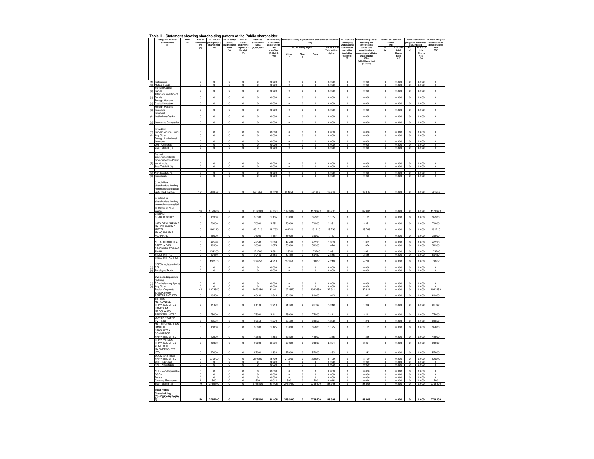## **Table III - Statement showing shareholding pattern of the Public shareholder**

|            | Category & Na<br>shareholders              | PAN<br>(II) | Nos. of<br>archol<br>ers<br>.           | No. of fully<br>aid-up equit<br>shares held | No. of partly<br>Nos. of<br>Total nos<br>hareholdi<br>ts held in<br>paid-up<br>shares<br>shares held<br>% calculate<br>(DC)<br>derivi<br>$CMB =$ |                                |                                     | <b>Io. of Shares</b><br><b>Underlying</b><br>Outstanding | ding as a<br>hareh<br>assuming full<br>conversion of |                                        | r of Locked in<br>shares<br>(XI)      |                               | nber of Shares<br>edged or otherwise   | mber of equit<br>shares held in<br>paterialized  |                                |                |                                    |                   |                                    |
|------------|--------------------------------------------|-------------|-----------------------------------------|---------------------------------------------|--------------------------------------------------------------------------------------------------------------------------------------------------|--------------------------------|-------------------------------------|----------------------------------------------------------|------------------------------------------------------|----------------------------------------|---------------------------------------|-------------------------------|----------------------------------------|--------------------------------------------------|--------------------------------|----------------|------------------------------------|-------------------|------------------------------------|
|            | (0)                                        |             | (II)                                    | (W)                                         | ity sha<br>held<br>(V)                                                                                                                           | nuenyn<br>Jeposito<br>Receipt  | $(IV) + (V) + (VI)$                 | per SCRR<br>s per ach<br>1957<br>As a % of               |                                                      | No. of Voting Rights                   |                                       | 'otal as a %c<br>Total Voting | convertible<br>securities              | conversion of<br>convertible<br>securities (as a | No.<br>(a)                     | s a %<br>total | No.<br>(a)                         | As a % o<br>total | form<br>$(XIN)$                    |
|            |                                            |             |                                         |                                             |                                                                                                                                                  | (VI)                           |                                     | $(A + B + C2)$<br>(VIII)                                 | Class                                                | Class                                  | Total                                 | rights                        | (Including<br><b>Warrants</b>          | rcentage of dilute                               |                                | Shares<br>held |                                    | Shares<br>held    |                                    |
|            |                                            |             |                                         |                                             |                                                                                                                                                  |                                |                                     |                                                          | $\mathbf x$                                          | y                                      |                                       |                               | $\alpha$                               | share capital)<br>$(XI) =$                       |                                | (b)            |                                    | (b)               |                                    |
|            |                                            |             |                                         |                                             |                                                                                                                                                  |                                |                                     |                                                          |                                                      |                                        |                                       |                               |                                        | (VII)+(X) as a % of<br>(A+B+C)                   |                                |                |                                    |                   |                                    |
|            |                                            |             |                                         |                                             |                                                                                                                                                  |                                |                                     |                                                          |                                                      |                                        |                                       |                               |                                        |                                                  |                                |                |                                    |                   |                                    |
|            |                                            |             |                                         |                                             |                                                                                                                                                  |                                |                                     |                                                          |                                                      |                                        |                                       |                               |                                        |                                                  |                                |                |                                    |                   |                                    |
| (1)        | stitutions                                 |             | $\overline{0}$                          | O                                           | 0                                                                                                                                                | o                              |                                     | 0.000                                                    | 0                                                    | O                                      | 0                                     | 0.000                         | o                                      | 0.000                                            |                                | 0.000          | $\circ$                            | 0.000             |                                    |
|            | (a) Mutual Funds<br>Venture Capital        |             | $\overline{0}$                          | $\overline{0}$                              | $\overline{0}$                                                                                                                                   | $\overline{0}$                 | $\overline{0}$                      | 0.000                                                    | $\overline{0}$                                       | $\overline{0}$                         | $\overline{0}$                        | 0.000                         | $\overline{0}$                         | 0.000                                            | $\overline{0}$                 | 0.000          | $\overline{0}$                     | 0.000             | $\overline{0}$                     |
| (b)        | Funds<br>Alternate Investment              |             | $\circ$                                 | $\circ$                                     | $\mathbf{0}$                                                                                                                                     | $\circ$                        | $\theta$                            | 0.000                                                    | $\theta$                                             | $\mathsf{O}\xspace$                    | $\circ$                               | 0.000                         | $\mathbb O$                            | 0.000                                            | $\circ$                        | 0.000          | $\mathsf{O}\xspace$                | 0.000             | $\mathsf{O}\xspace$                |
| (c)        | Funds<br>Foreign Venture                   |             | $\circ$                                 | $\circ$                                     | $\mathbf 0$                                                                                                                                      | $\mathbf{0}$                   | $\circ$                             | 0.000                                                    | $\mathbf 0$                                          | $\theta$                               | $\mathsf 0$                           | 0.000                         | $\mathbf 0$                            | 0.000                                            | $\circ$                        | 0.000          | $\theta$                           | 0.000             | $\mathbf 0$                        |
| (d)        | Capital Investors                          |             | $\mathbf{0}$                            | $\theta$                                    | $\mathbf{0}$                                                                                                                                     | $\mathbf{0}$                   | $\circ$                             | 0.000                                                    | $\mathbf{0}$                                         | $\theta$                               | $\theta$                              | 0.000                         | $\,$ 0                                 | 0.000                                            | $\circ$                        | 0.000          | $\circ$                            | 0.000             | $\mathsf 0$                        |
| (e)        | Foreign Portfolio<br>Investors             |             | $\,$ 0 $\,$                             | $\mathbb O$                                 | $\mathbf 0$                                                                                                                                      | $\mathbf 0$                    | $\,$ 0                              | 0.000                                                    | $\mathbf 0$                                          | $\circ$                                | $\mathsf{O}\xspace$                   | 0.000                         | $\mathsf{O}\xspace$                    | 0.000                                            | $\,$ 0 $\,$                    | 0.000          | $\mathbb O$                        | 0.000             | $\mathbf 0$                        |
| (f)        | nancial<br>Institutions/Bank               |             | $\Omega$                                | ń                                           | ò                                                                                                                                                | $\theta$                       | $\theta$                            | 0.000                                                    | n                                                    | $\theta$                               | $\Omega$                              | 0.000                         | $\theta$                               | 0.000                                            | ò                              | 0.000          | $\Omega$                           | 0.000             | $\Omega$                           |
| (g)        | Insurance Companie                         |             | $\mathbf{0}$                            | $\circ$                                     | $\mathbf{0}$                                                                                                                                     | $\mathbf{0}$                   | $\theta$                            | 0.000                                                    | $\mathbf{0}$                                         | $\mathsf{O}\xspace$                    | $\circ$                               | 0.000                         | $\mathbb O$                            | 0.000                                            | $\circ$                        | 0.000          | $\circ$                            | 0.000             | $\mathsf{O}\xspace$                |
|            | Provident                                  |             |                                         |                                             |                                                                                                                                                  |                                |                                     |                                                          |                                                      |                                        |                                       |                               |                                        |                                                  |                                |                |                                    |                   |                                    |
| (h)        | Funds/Pension Funds                        |             | $\Omega$                                |                                             | n                                                                                                                                                |                                |                                     | 0.000                                                    |                                                      |                                        | $\Omega$                              | 0.000                         | $\Omega$                               | 0.000                                            |                                | 0.000          |                                    | 0.000             |                                    |
| (0)        | Any Other<br>Foreign Institutional         |             | $\mathbf 0$                             | $^{\circ}$                                  | 0                                                                                                                                                | 0                              | $^{\circ}$                          | 0.000                                                    | 0                                                    | 0                                      | $^{\circ}$                            | 0.000                         | $\overline{\mathbf{0}}$                | 0.000                                            | $^{\circ}$                     | 0.000          | $^{\circ}$                         | 0.000             | $\mathbf 0$                        |
|            | Investors<br>QFI - Corporate               |             | $\mathbf 0$<br>$\overline{\mathbf{0}}$  | $\,0\,$<br>0                                | $\pmb{0}$<br>o                                                                                                                                   | $\mathbf{0}$<br>o              | $\circ$<br>o                        | 0.000<br>0.000                                           | $\bf{0}$<br>o                                        | $\mathbf 0$<br>$\overline{\mathbf{0}}$ | $\,$ 0<br>0                           | 0.000<br>0.000                | $\,$ 0<br>$\overline{\mathbf{0}}$      | 0.000<br>0.000                                   | $\mathbb O$<br>o               | 0.000<br>0.000 | $\circ$<br>$\overline{\mathbf{0}}$ | 0.000<br>0.000    | $\circ$<br>$\overline{\mathbf{0}}$ |
|            | Sub-Total (B)(1)                           |             | $\Omega$                                |                                             | n                                                                                                                                                | $\Omega$                       | $\Omega$                            | 0.000                                                    | n                                                    | $\sim$                                 | $\Omega$                              | 0.000                         | $\Omega$                               | 0.000                                            |                                | 0.000          | $\Omega$                           | 0.000             | $\Omega$                           |
|            | Central<br>Government/State                |             |                                         |                                             |                                                                                                                                                  |                                |                                     |                                                          |                                                      |                                        |                                       |                               |                                        |                                                  |                                |                |                                    |                   |                                    |
| (2)        | Government(s)/Presid                       |             | $\theta$                                |                                             |                                                                                                                                                  | n                              | $\Omega$                            |                                                          |                                                      |                                        | $\ddot{\mathbf{0}}$                   |                               | $\theta$                               | 0.000                                            | $\Omega$                       | 0.000          | $\Omega$                           | 0.000             | $\theta$                           |
|            | ent of India<br>Sub-Total (B)(2)           |             | $\pmb{0}$                               | $\theta$                                    | 0<br>$\mathbf 0$                                                                                                                                 | $\overline{0}$                 | $\theta$                            | 0.000<br>0.000                                           | $^{\circ}$                                           | $\pmb{0}$                              | $\overline{0}$                        | 0.000<br>0.000                | $\pmb{0}$                              | 0.000                                            | $\circ$                        | 0.000          | $\mathbf 0$                        | 0.000             | $\pmb{0}$                          |
|            | (3) Non-Institutions<br>(a) Individuals    |             | $\overline{\phantom{a}}$                | O                                           | O                                                                                                                                                | ō                              | o                                   | 0.000                                                    | $\bf{0}$                                             | $\overline{0}$                         | $\overline{\mathbf{0}}$               | 0.000                         | $\overline{\mathbf{0}}$                | 0.000                                            | o                              | 0.000          | $\circ$                            | 0.000             | $\overline{0}$                     |
|            |                                            |             | $\overline{\mathbf{0}}$                 | $\overline{0}$                              | $\overline{0}$                                                                                                                                   | $\overline{0}$                 | $\overline{0}$                      | 0.000                                                    | $\overline{0}$                                       | $\overline{0}$                         | $\overline{0}$                        | 0.000                         | $\overline{0}$                         | 0.000                                            | $\overline{0}$                 | 0.000          | $\overline{0}$                     | 0.000             | $\overline{\mathbf{0}}$            |
|            | Individual<br>shareholders holding         |             |                                         |                                             |                                                                                                                                                  |                                |                                     |                                                          |                                                      |                                        |                                       |                               |                                        |                                                  |                                |                |                                    |                   |                                    |
|            | nominal share capital<br>up to Rs.2 Lakhs. |             | $121$                                   | 561350                                      | $\mathbf 0$                                                                                                                                      | $\,$ 0 $\,$                    | 561350                              | 18.048                                                   | 561350                                               | $\mathbf 0$                            | 561350                                | 18.048                        | $\mathsf{O}\xspace$                    | 18.048                                           | $\circ$                        | 0.000          | $\circ$                            | 0.000             | 501250                             |
|            |                                            |             |                                         |                                             |                                                                                                                                                  |                                |                                     |                                                          |                                                      |                                        |                                       |                               |                                        |                                                  |                                |                |                                    |                   |                                    |
|            | ii) Individual<br>shareholders holding     |             |                                         |                                             |                                                                                                                                                  |                                |                                     |                                                          |                                                      |                                        |                                       |                               |                                        |                                                  |                                |                |                                    |                   |                                    |
|            | nominal share capital<br>in excess of Rs.2 |             |                                         |                                             |                                                                                                                                                  |                                |                                     |                                                          |                                                      |                                        |                                       |                               |                                        |                                                  |                                |                |                                    |                   |                                    |
|            | Lakhs.<br>BIKRAM                           |             | 13                                      | 1179900                                     | O                                                                                                                                                | o                              | 1179900                             | 37.934                                                   | 1179900                                              | $\theta$                               | 1179900                               | 37.934                        | $\theta$                               | 37.934                                           |                                | 0.000          | $\theta$                           | 0.000             | 1179900                            |
|            | CHAKRABORTY                                |             | $\Omega$                                | 35300                                       | $\theta$                                                                                                                                         | $\mathbf{a}$                   | 35300                               | 1.135                                                    | 35300                                                | $\theta$                               | 35300                                 | 1.135                         | $\Omega$                               | 1 135                                            | $\Omega$                       | 0.000          | $\Omega$                           | 0.000             | 35300                              |
|            | ATA DEVI KHEMKA                            |             | $\circ$                                 | 70000                                       | $\mathbf{0}$                                                                                                                                     | $\mathbf{0}$                   | 70000                               | 2.251                                                    | 70000                                                | $\Omega$                               | 70000                                 | 2.251                         | $\mathsf{O}\xspace$                    | 2.251                                            | $\circ$                        | 0.000          | $\Omega$                           | 0.000             | 70000                              |
|            | <b>MAHESH KUMAR</b><br>MITTAL              |             | $\mathbf 0$                             | 491210                                      | 0                                                                                                                                                | $\mathbf 0$                    | 491210                              | 15.793                                                   | 491210                                               | $\mathsf{O}\xspace$                    | 491210                                | 15.793                        | $\mathsf 0$                            | 15.793                                           | $\circ$                        | 0.000          | $\mathsf{O}\xspace$                | 0.000             | 491210                             |
|            | MANOJ KUMAR<br>AGARWAL                     |             | $\mathbb O$                             | 36000                                       | $\mathbf 0$                                                                                                                                      | $\mathbf 0$                    | 36000                               | 1.157                                                    | 36000                                                | $\mathsf 0$                            | 36000                                 | 1.157                         | $\,$ 0                                 | 1.157                                            | $\mathbb O$                    | 0.000          | $\circ$                            | 0.000             | 36000                              |
|            | NETAI CHAND SEAL                           |             | $\theta$                                | 42590                                       | $\mathbf{0}$                                                                                                                                     | $\overline{a}$                 | 42590                               | 1.369                                                    | 42590                                                | $\Omega$                               | 42590                                 | 1.369                         | $\circ$                                | 1.369                                            | $\Omega$                       | 0.000          | $\theta$                           | 0.000             | 42590                              |
|            | PARTHA DAS<br>RAJENDRA PRASAD              |             | $\mathfrak o$                           | 58300                                       | $\overline{\mathbf{0}}$                                                                                                                          | $\pmb{0}$                      | 58300                               | 1.874                                                    | 58300                                                | $\overline{\mathbf{0}}$                | 58300                                 | 1.874                         | $\overline{\mathbf{0}}$                | 1.874                                            | $\overline{\mathbf{0}}$        | 0.000          | $\overline{0}$                     | 0.000             | 58300                              |
|            | SHAH<br><b>VIKAS MITTAL</b>                |             | $\circ$                                 | 123200                                      | o                                                                                                                                                | ò                              | 123200                              | 3.961                                                    | 123200                                               |                                        | 123200                                | 3.961                         | $\circ$                                | 3.961                                            | $\Omega$                       | 0.000          |                                    | 0.000             | 123200                             |
|            | <b>VIKAS MITTAL (HUF</b>                   |             | $\overline{0}$                          | 80450                                       | $\overline{0}$                                                                                                                                   | $\overline{0}$                 | 80450                               | 2.586                                                    | 80450                                                | $\overline{0}$                         | 80450                                 | 2.586                         | $\overline{0}$                         | 2.586                                            | $\overline{0}$                 | 0.000          | $\overline{0}$                     | 0.000             | 80450                              |
|            | .<br>NBFCs registered with                 |             | $\mathbf 0$                             | 130950                                      | $\pmb{0}$                                                                                                                                        | $\mathbf 0$                    | 130950                              | 4.210                                                    | 130950                                               | o                                      | 130950                                | 4.210                         | $\,$ 0                                 | 4.210                                            | $\mathbf{0}$                   | 0.000          | $\ddot{\mathbf{0}}$                | 0.000             | 130950                             |
| (b)<br>(c) | RBI<br><b>Employee Trusts</b>              |             | $\mathbf 0$<br>$\overline{0}$           | $\ddot{\text{o}}$<br>$\overline{0}$         | $\mathbf 0$<br>$\overline{0}$                                                                                                                    | $\mathbf{0}$<br>$\overline{0}$ | $\ddot{\text{o}}$<br>$\overline{0}$ | 0.000<br>0.000                                           | $\mathbf{0}$<br>$\overline{0}$                       | $\circ$<br>$\overline{0}$              | $\ddot{\mathbf{0}}$<br>$\overline{0}$ | 0.000<br>0.000                | $\mathsf 0$<br>$\overline{0}$          | 0.000<br>0.000                                   | $\mathbf{0}$<br>$\overline{0}$ | 0.000<br>0.000 | $\circ$<br>$\overline{0}$          | 0.000<br>0.000    | $\mathbf 0$<br>$\overline{0}$      |
|            | Overseas Depositors                        |             |                                         |                                             |                                                                                                                                                  |                                |                                     |                                                          |                                                      |                                        |                                       |                               |                                        |                                                  |                                |                |                                    |                   |                                    |
|            | (holding                                   |             |                                         |                                             |                                                                                                                                                  |                                |                                     |                                                          |                                                      |                                        |                                       |                               |                                        |                                                  |                                |                |                                    |                   |                                    |
| (d)<br>(e) | DRs)(balancing figure<br>Any Other         |             | $\mathbf{0}$<br>$\overline{0}$          | $\overline{0}$                              | $\overline{0}$                                                                                                                                   | $\overline{0}$                 | $\overline{0}$                      | 0.000<br>0.000                                           | $\overline{0}$                                       | $\overline{0}$                         | $\overline{0}$                        | 0.000<br>0.000                | $\overline{0}$                         | 0.000<br>0.000                                   | $\overline{0}$                 | 0.000<br>0.000 | $\overline{0}$                     | 0.000<br>0.000    | $\overline{0}$                     |
|            | Bodies Corporate<br><b>BASUKINATH</b>      |             | 41                                      | 102365                                      | $\Omega$                                                                                                                                         | $\Omega$                       | 1023650                             | 32.911                                                   | 102365                                               | $^{\circ}$                             | 102365                                | 32.911                        | $\theta$                               | 32.911                                           | £                              | 0.000          | $\Omega$                           | 0.000             | 102345                             |
|            | BARTER PVT. LTD<br>RETTER                  |             | $\circ$                                 | 60400                                       | $\mathbf{0}$                                                                                                                                     | $\mathbf{0}$                   | 60400                               | 1.942                                                    | 60400                                                | $\circ$                                | 60400                                 | 1.942                         | $\circ$                                | 1.942                                            | $\theta$                       | 0.000          | $\theta$                           | 0.000             | 60400                              |
|            | MERCANTILE<br>PRIVATE LIMITED              |             | $\mathbf 0$                             | 31490                                       | $\Omega$                                                                                                                                         | $\theta$                       | 31490                               | 1.012                                                    | 31490                                                | $\Omega$                               | 31490                                 | 1.012                         | $\mathbf 0$                            | 1.012                                            |                                | 0.000          | $\Omega$                           | 0.000             | 31490                              |
|            | HANDSOME<br><b>MERCHANTS</b>               |             |                                         |                                             |                                                                                                                                                  |                                |                                     |                                                          |                                                      |                                        |                                       |                               |                                        |                                                  |                                |                |                                    |                   |                                    |
|            | PRIVATE LIMITED                            |             | $\mathbf 0$                             | 75000                                       | 0                                                                                                                                                | $\mathbf{0}$                   | 75000                               | 2.411                                                    | 75000                                                | $\mathbf{0}$                           | 75000                                 | 2.411                         | $\mathsf{O}\xspace$                    | 2.411                                            | o                              | 0.000          | $\circ$                            | 0.000             | 75000                              |
|            | LOWER VYAPAR<br>PVT. LTD.                  |             | $\mathbf 0$                             | 39550                                       | $\mathbf 0$                                                                                                                                      | $\mathbf{0}$                   | 39550                               | 1.272                                                    | 39550                                                | $\theta$                               | 39550                                 | 1.272                         | $\mathsf{O}\xspace$                    | 1.272                                            | $\circ$                        | 0.000          | $\theta$                           | 0.000             | 39550                              |
|            | MSP SPONGE IRON<br><b>LIMITED</b>          |             | $\,$ 0 $\,$                             | 35000                                       | $\mathbf{0}$                                                                                                                                     | $\overline{0}$                 | 35000                               | 1.125                                                    | 35000                                                | $\circ$                                | 35000                                 | 1.125                         | $\mathfrak o$                          | 1.125                                            | $\Omega$                       | 0.000          | $\circ$                            | 0.000             | 35000                              |
|            | NAKSHATRA<br>COMMERCIAL                    |             |                                         |                                             |                                                                                                                                                  |                                |                                     |                                                          |                                                      |                                        |                                       |                               |                                        |                                                  |                                |                |                                    |                   |                                    |
|            | PRIVATE LIMITED<br>PRIYA VINCOM            |             | $\bf{0}$                                | 42500                                       | $\circ$                                                                                                                                          | o                              | 42500                               | 1.366                                                    | 42500                                                | $^{\circ}$                             | 42500                                 | 1.366                         | $\mathbf 0$                            | 1.366                                            |                                | 0.000          | $^{\circ}$                         | 0.000             | 42500                              |
|            | PRIVATE LIMITED<br><b>VENERA IT</b>        |             | $\mathbb O$                             | 90000                                       | $\mathbf{0}$                                                                                                                                     | $\circ$                        | 90000                               | 2.894                                                    | 90000                                                | $\circ$                                | 90000                                 | 2.894                         | $\circ$                                | 2.894                                            | $\circ$                        | 0.000          | $\circ$                            | 0.000             | 90000                              |
|            | <b>MARKETING PVT</b>                       |             |                                         |                                             |                                                                                                                                                  |                                |                                     |                                                          |                                                      |                                        |                                       |                               |                                        |                                                  |                                |                |                                    |                   |                                    |
|            | LTD<br><b>ZOOM SYSTEMS</b>                 |             | $\mathbf 0$                             | 57000                                       | $\mathbf 0$                                                                                                                                      | $\mathbf 0$                    | 57000                               | 1.833                                                    | 57000                                                | $^{\circ}$                             | 57000                                 | 1.833                         | $\theta$                               | 1.833                                            |                                | 0.000          |                                    | 0.000             | 57000                              |
|            | PRIVATE LIMITED<br>QFI - Individual        |             | $\mathbf 0$<br>$\overline{\phantom{a}}$ | 270900                                      | $\mathbf{0}$<br>o                                                                                                                                | $\theta$<br>o                  | 270900                              | 8,709<br>0.000                                           | 270900                                               | $\circ$<br>0                           | 270900                                | 8,709<br>0.000                | $\mathbb O$<br>$\overline{\mathbf{0}}$ | 8,709<br>0.000                                   | $\theta$<br>c                  | 0.000<br>0.000 | $\theta$<br>0                      | 0.000<br>0.000    | 270900<br>O                        |
|            | NRI - Repatriabl                           |             | $\circ$                                 | $\Omega$                                    | $\circ$                                                                                                                                          | $\Omega$                       | $\Omega$                            | 0.000                                                    | n                                                    | $^{\circ}$                             | $^{\circ}$                            | 0.000                         | $^{\circ}$                             | 0.000                                            | $\Omega$                       | 0.000          | n                                  | 0.000             | $^{\circ}$                         |
|            | NRI - Non-Repatriable                      |             | $\circ$                                 | $\theta$                                    | $\mathbf{0}$                                                                                                                                     | $\theta$                       | $\circ$                             | 0.000                                                    | $\mathbf{0}$                                         | $\theta$                               | $\theta$                              | 0.000                         | $\circ$                                | 0.000                                            | $\Omega$                       | 0.000          | $\theta$                           | 0.000             | $\theta$                           |
|            | OCBs<br>rusts                              |             | $\mathbf 0$<br>$\overline{\mathbf{0}}$  | $\circ$<br>$\overline{0}$                   | 0<br>$\overline{0}$                                                                                                                              | $\mathbf 0$<br>ō               | $\circ$<br>$\overline{0}$           | 0.000<br>0.000                                           | $\mathbf 0$<br>$\overline{0}$                        | $\circ$<br>O                           | $\mathbb O$<br>$\overline{0}$         | 0.000<br>0.000                | $\mathbb O$<br>$\overline{\mathbf{0}}$ | 0.000<br>0.000                                   | $\circ$<br>c                   | 0.000<br>0.000 | $\circ$<br>ō                       | 0.000<br>0.000    | $\circ$<br>$\overline{0}$          |
|            | learing Memebers<br>Sub-Total (B)(3)       |             | -1<br>176                               | 500<br>2765400                              | n<br>$^{\circ}$                                                                                                                                  | n<br>$^{\circ}$                | 500<br>2765400                      | 0.016<br>88.908                                          | 500<br>2765400                                       | $^{\circ}$<br>$^{\circ}$               | 500<br>2765400                        | 0.016<br>88.908               | $^{\circ}$<br>$^{\circ}$               | 0.016<br>88.908                                  | -C                             | 0.000<br>0.000 | $\Omega$<br>0                      | 0.000<br>0.000    | 500<br>270510                      |
|            | <b>Total Public</b>                        |             |                                         |                                             |                                                                                                                                                  |                                |                                     |                                                          |                                                      |                                        |                                       |                               |                                        |                                                  |                                |                |                                    |                   |                                    |
|            | Shareholding<br>$(B)=(B)(1)+(B)(2)+(B)($   |             |                                         |                                             |                                                                                                                                                  |                                |                                     |                                                          |                                                      |                                        |                                       |                               |                                        |                                                  |                                |                |                                    |                   |                                    |
|            |                                            |             | 176                                     | 2765400                                     |                                                                                                                                                  |                                | 2765400                             | 88.908                                                   | 2765400                                              | $\mathbf 0$                            | 2765400                               | 88.908                        |                                        | 88.908                                           |                                | 0.000          |                                    | 0.000             | 2705100                            |